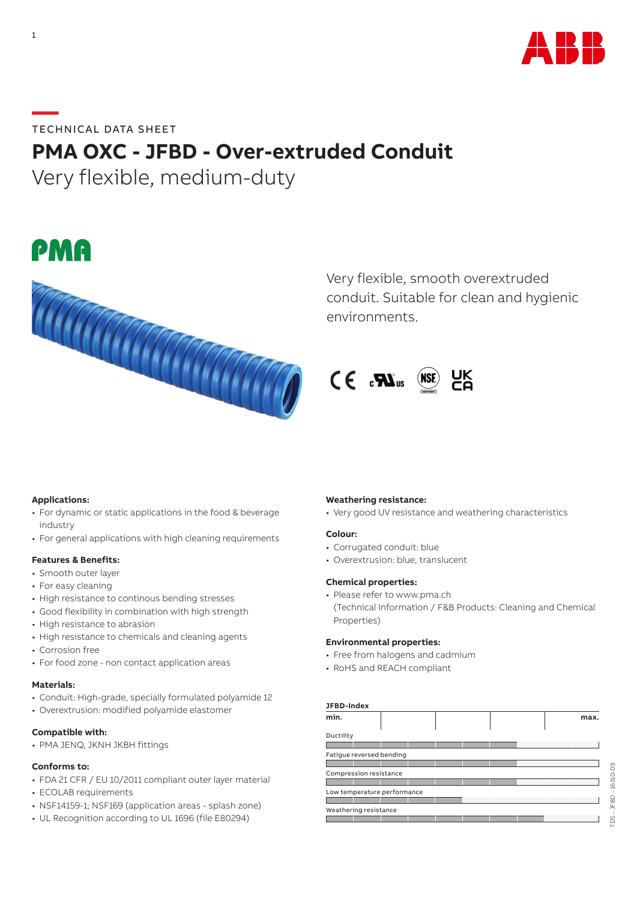

# **—**TECHNICAL DATA SHEET **PMA OXC - JFBD - Over-extruded Conduit**

Very flexible, medium-duty





Very flexible, smooth overextruded conduit. Suitable for clean and hygienic environments.



## **Applications:**

- For dynamic or static applications in the food & beverage industry
- For general applications with high cleaning requirements

## **Features & Benefits:**

- Smooth outer layer
- For easy cleaning
- High resistance to continous bending stresses
- Good flexibility in combination with high strength
- High resistance to abrasion
- High resistance to chemicals and cleaning agents
- Corrosion free
- For food zone non contact application areas

## **Materials:**

- Conduit: High-grade, specially formulated polyamide 12
- Overextrusion: modified polyamide elastomer

### **Compatible with:**

• PMA JENQ, JKNH JKBH fittings

## **Conforms to:**

- FDA 21 CFR / EU 10/2011 compliant outer layer material
- ECOLAB requirements
- NSF14159-1; NSF169 (application areas splash zone)
- UL Recognition according to UL 1696 (file E80294)

#### **Weathering resistance:**

• Very good UV resistance and weathering characteristics

#### **Colour:**

- Corrugated conduit: blue
- Overextrusion: blue, translucent

#### **Chemical properties:**

• Please refer to www.pma.ch (Technical Information / F&B Products: Cleaning and Chemical Properties)

#### **Environmental properties:**

- Free from halogens and cadmium
- RoHS and REACH compliant

## **JFBD-Index**

|                             |  |  |  |  |  |  | max. |
|-----------------------------|--|--|--|--|--|--|------|
| Ductility                   |  |  |  |  |  |  |      |
|                             |  |  |  |  |  |  |      |
| Fatigue reversed bending    |  |  |  |  |  |  |      |
|                             |  |  |  |  |  |  |      |
| Compression resistance      |  |  |  |  |  |  |      |
|                             |  |  |  |  |  |  |      |
| Low temperature performance |  |  |  |  |  |  |      |
|                             |  |  |  |  |  |  |      |
| Weathering resistance       |  |  |  |  |  |  |      |
|                             |  |  |  |  |  |  |      |

TDS - JFBD - 16310-09

DS-JFBD-16310-09